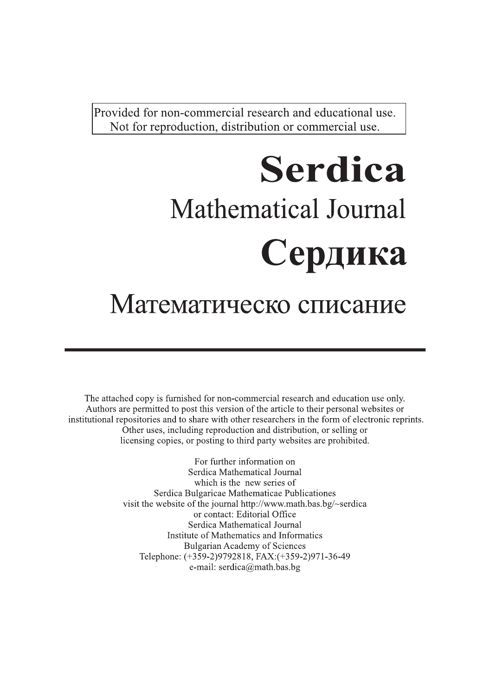Provided for non-commercial research and educational use. Not for reproduction, distribution or commercial use.

# **Serdica Mathematical Journal** Сердика

## Математическо списание

The attached copy is furnished for non-commercial research and education use only. Authors are permitted to post this version of the article to their personal websites or institutional repositories and to share with other researchers in the form of electronic reprints. Other uses, including reproduction and distribution, or selling or licensing copies, or posting to third party websites are prohibited.

> For further information on Serdica Mathematical Journal which is the new series of Serdica Bulgaricae Mathematicae Publicationes visit the website of the journal http://www.math.bas.bg/~serdica or contact: Editorial Office Serdica Mathematical Journal Institute of Mathematics and Informatics **Bulgarian Academy of Sciences** Telephone: (+359-2)9792818, FAX:(+359-2)971-36-49 e-mail: serdica@math.bas.bg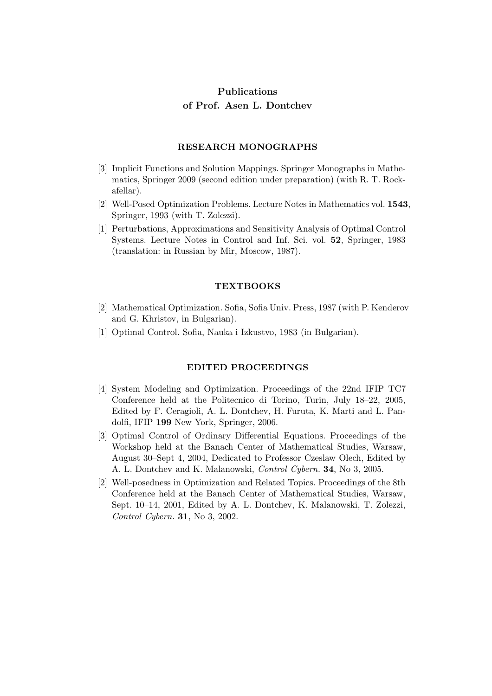### Publications of Prof. Asen L. Dontchev

#### RESEARCH MONOGRAPHS

- [3] Implicit Functions and Solution Mappings. Springer Monographs in Mathematics, Springer 2009 (second edition under preparation) (with R. T. Rockafellar).
- [2] Well-Posed Optimization Problems. Lecture Notes in Mathematics vol. 1543, Springer, 1993 (with T. Zolezzi).
- [1] Perturbations, Approximations and Sensitivity Analysis of Optimal Control Systems. Lecture Notes in Control and Inf. Sci. vol. 52, Springer, 1983 (translation: in Russian by Mir, Moscow, 1987).

#### **TEXTBOOKS**

- [2] Mathematical Optimization. Sofia, Sofia Univ. Press, 1987 (with P. Kenderov and G. Khristov, in Bulgarian).
- [1] Optimal Control. Sofia, Nauka i Izkustvo, 1983 (in Bulgarian).

#### EDITED PROCEEDINGS

- [4] System Modeling and Optimization. Proceedings of the 22nd IFIP TC7 Conference held at the Politecnico di Torino, Turin, July 18–22, 2005, Edited by F. Ceragioli, A. L. Dontchev, H. Furuta, K. Marti and L. Pandolfi, IFIP 199 New York, Springer, 2006.
- [3] Optimal Control of Ordinary Differential Equations. Proceedings of the Workshop held at the Banach Center of Mathematical Studies, Warsaw, August 30–Sept 4, 2004, Dedicated to Professor Czeslaw Olech, Edited by A. L. Dontchev and K. Malanowski, Control Cybern. 34, No 3, 2005.
- [2] Well-posedness in Optimization and Related Topics. Proceedings of the 8th Conference held at the Banach Center of Mathematical Studies, Warsaw, Sept. 10–14, 2001, Edited by A. L. Dontchev, K. Malanowski, T. Zolezzi, Control Cybern. 31, No 3, 2002.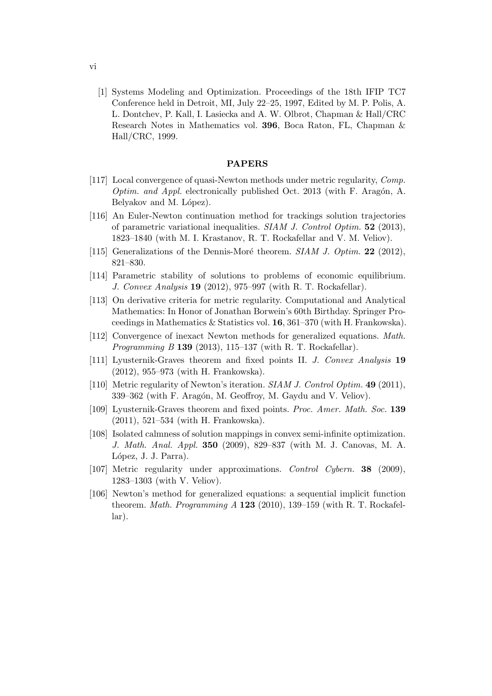[1] Systems Modeling and Optimization. Proceedings of the 18th IFIP TC7 Conference held in Detroit, MI, July 22–25, 1997, Edited by M. P. Polis, A. L. Dontchev, P. Kall, I. Lasiecka and A. W. Olbrot, Chapman & Hall/CRC Research Notes in Mathematics vol. 396, Boca Raton, FL, Chapman & Hall/CRC, 1999.

#### PAPERS

- [117] Local convergence of quasi-Newton methods under metric regularity, Comp. *Optim. and Appl.* electronically published Oct. 2013 (with F. Aragón, A. Belyakov and M. López).
- [116] An Euler-Newton continuation method for trackings solution trajectories of parametric variational inequalities.  $SIAM$  J. Control Optim. 52 (2013), 1823–1840 (with M. I. Krastanov, R. T. Rockafellar and V. M. Veliov).
- [115] Generalizations of the Dennis-Moré theorem.  $SIAM$  J. Optim. 22 (2012), 821–830.
- [114] Parametric stability of solutions to problems of economic equilibrium. J. Convex Analysis 19 (2012), 975–997 (with R. T. Rockafellar).
- [113] On derivative criteria for metric regularity. Computational and Analytical Mathematics: In Honor of Jonathan Borwein's 60th Birthday. Springer Proceedings in Mathematics & Statistics vol. 16, 361–370 (with H. Frankowska).
- [112] Convergence of inexact Newton methods for generalized equations. Math. *Programming B* 139 (2013), 115–137 (with R. T. Rockafellar).
- [111] Lyusternik-Graves theorem and fixed points II. J. Convex Analysis 19 (2012), 955–973 (with H. Frankowska).
- [110] Metric regularity of Newton's iteration. SIAM J. Control Optim. 49 (2011), 339–362 (with F. Aragón, M. Geoffroy, M. Gaydu and V. Veliov).
- [109] Lyusternik-Graves theorem and fixed points. Proc. Amer. Math. Soc. 139 (2011), 521–534 (with H. Frankowska).
- [108] Isolated calmness of solution mappings in convex semi-infinite optimization. J. Math. Anal. Appl. 350 (2009), 829–837 (with M. J. Canovas, M. A. López, J. J. Parra).
- [107] Metric regularity under approximations. Control Cybern. **38** (2009), 1283–1303 (with V. Veliov).
- [106] Newton's method for generalized equations: a sequential implicit function theorem. *Math. Programming A* 123 (2010), 139–159 (with R. T. Rockafellar).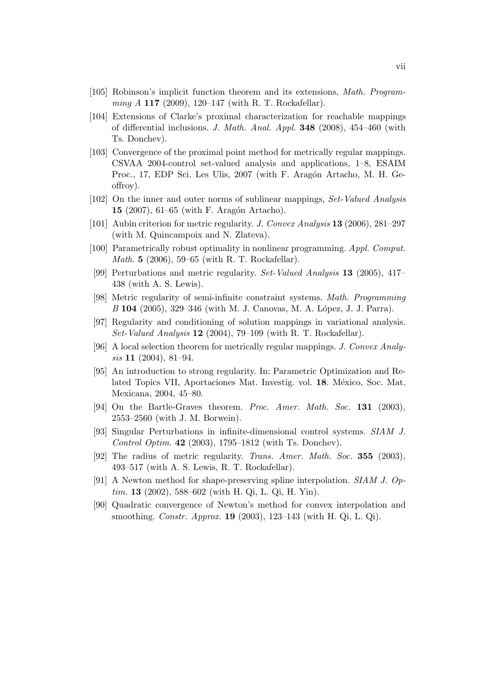- [105] Robinson's implicit function theorem and its extensions, Math. Programming A 117 (2009), 120–147 (with R. T. Rockafellar).
- [104] Extensions of Clarke's proximal characterization for reachable mappings of differential inclusions. J. Math. Anal. Appl.  $348$  (2008), 454–460 (with Ts. Donchev).
- [103] Convergence of the proximal point method for metrically regular mappings. CSVAA 2004-control set-valued analysis and applications, 1–8, ESAIM Proc., 17, EDP Sci. Les Ulis, 2007 (with F. Aragón Artacho, M. H. Geoffroy).
- [102] On the inner and outer norms of sublinear mappings, Set-Valued Analysis 15 (2007), 61–65 (with F. Aragón Artacho).
- [101] Aubin criterion for metric regularity. *J. Convex Analysis* **13** (2006), 281-297 (with M. Quincampoix and N. Zlateva).
- [100] Parametrically robust optimality in nonlinear programming. Appl. Comput. Math. 5 (2006), 59–65 (with R. T. Rockafellar).
- [99] Perturbations and metric regularity. Set-Valued Analysis 13 (2005), 417– 438 (with A. S. Lewis).
- [98] Metric regularity of semi-infinite constraint systems. Math. Programming B 104 (2005), 329–346 (with M. J. Canovas, M. A. López, J. J. Parra).
- [97] Regularity and conditioning of solution mappings in variational analysis. Set-Valued Analysis  $12$  (2004), 79–109 (with R. T. Rockafellar).
- [96] A local selection theorem for metrically regular mappings. J. Convex Analysis 11 (2004), 81–94.
- [95] An introduction to strong regularity. In: Parametric Optimization and Related Topics VII, Aportaciones Mat. Investig. vol. 18. México, Soc. Mat. Mexicana, 2004, 45–80.
- [94] On the Bartle-Graves theorem. Proc. Amer. Math. Soc. 131 (2003), 2553–2560 (with J. M. Borwein).
- [93] Singular Perturbations in infinite-dimensional control systems. SIAM J. Control Optim. 42 (2003), 1795–1812 (with Ts. Donchev).
- [92] The radius of metric regularity. Trans. Amer. Math. Soc. 355 (2003), 493–517 (with A. S. Lewis, R. T. Rockafellar).
- [91] A Newton method for shape-preserving spline interpolation. SIAM J. Op $tim. 13 (2002), 588–602 (with H. Qi, L. Qi, H. Yin).$
- [90] Quadratic convergence of Newton's method for convex interpolation and smoothing. Constr. Approx. 19 (2003), 123–143 (with H. Qi, L. Qi).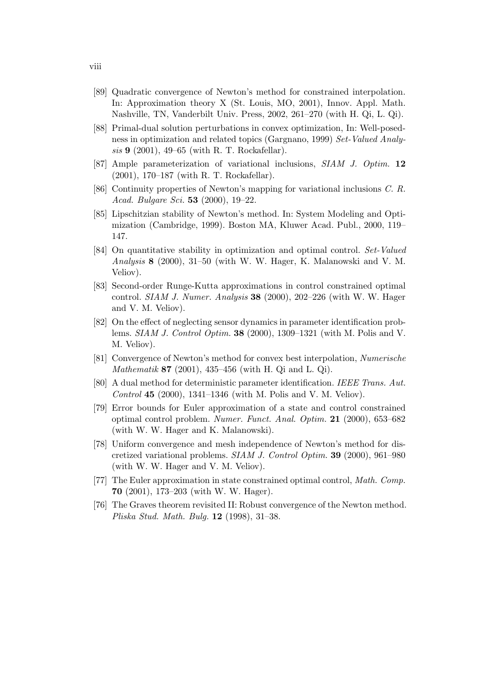- [89] Quadratic convergence of Newton's method for constrained interpolation. In: Approximation theory X (St. Louis, MO, 2001), Innov. Appl. Math. Nashville, TN, Vanderbilt Univ. Press, 2002, 261–270 (with H. Qi, L. Qi).
- [88] Primal-dual solution perturbations in convex optimization, In: Well-posedness in optimization and related topics (Gargnano, 1999) Set-Valued Analysis 9 (2001), 49–65 (with R. T. Rockafellar).
- [87] Ample parameterization of variational inclusions, SIAM J. Optim. 12 (2001), 170–187 (with R. T. Rockafellar).
- [86] Continuity properties of Newton's mapping for variational inclusions C. R. Acad. Bulgare Sci. 53 (2000), 19–22.
- [85] Lipschitzian stability of Newton's method. In: System Modeling and Optimization (Cambridge, 1999). Boston MA, Kluwer Acad. Publ., 2000, 119– 147.
- [84] On quantitative stability in optimization and optimal control. Set-Valued Analysis 8 (2000), 31–50 (with W. W. Hager, K. Malanowski and V. M. Veliov).
- [83] Second-order Runge-Kutta approximations in control constrained optimal control. *SIAM J. Numer. Analysis* **38** (2000), 202–226 (with W. W. Hager and V. M. Veliov).
- [82] On the effect of neglecting sensor dynamics in parameter identification problems. SIAM J. Control Optim. 38 (2000), 1309–1321 (with M. Polis and V. M. Veliov).
- [81] Convergence of Newton's method for convex best interpolation, Numerische Mathematik 87 (2001), 435–456 (with H. Qi and L. Qi).
- [80] A dual method for deterministic parameter identification. IEEE Trans. Aut. *Control* 45 (2000), 1341–1346 (with M. Polis and V. M. Veliov).
- [79] Error bounds for Euler approximation of a state and control constrained optimal control problem. Numer. Funct. Anal. Optim. 21 (2000), 653–682 (with W. W. Hager and K. Malanowski).
- [78] Uniform convergence and mesh independence of Newton's method for discretized variational problems. SIAM J. Control Optim. 39 (2000), 961–980 (with W. W. Hager and V. M. Veliov).
- [77] The Euler approximation in state constrained optimal control, Math. Comp. 70 (2001), 173–203 (with W. W. Hager).
- [76] The Graves theorem revisited II: Robust convergence of the Newton method. Pliska Stud. Math. Bulg. 12 (1998), 31–38.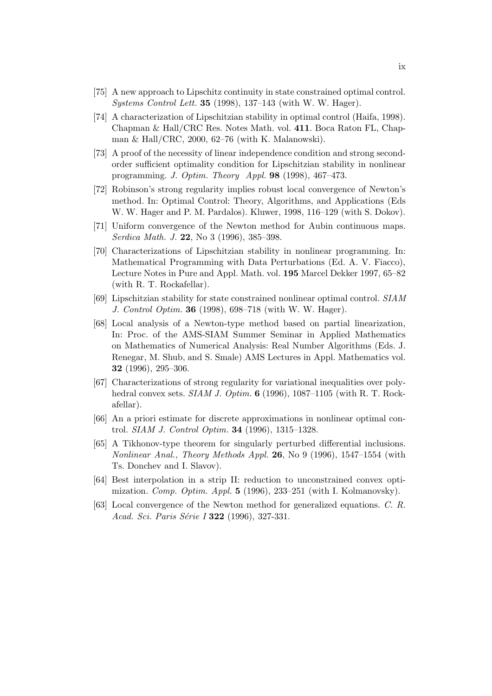- [75] A new approach to Lipschitz continuity in state constrained optimal control. Systems Control Lett. 35 (1998), 137–143 (with W. W. Hager).
- [74] A characterization of Lipschitzian stability in optimal control (Haifa, 1998). Chapman & Hall/CRC Res. Notes Math. vol. 411. Boca Raton FL, Chapman & Hall/CRC, 2000, 62–76 (with K. Malanowski).
- [73] A proof of the necessity of linear independence condition and strong secondorder sufficient optimality condition for Lipschitzian stability in nonlinear programming. J. Optim. Theory Appl. 98 (1998), 467–473.
- [72] Robinson's strong regularity implies robust local convergence of Newton's method. In: Optimal Control: Theory, Algorithms, and Applications (Eds W. W. Hager and P. M. Pardalos). Kluwer, 1998, 116–129 (with S. Dokov).
- [71] Uniform convergence of the Newton method for Aubin continuous maps. Serdica Math. J. 22, No 3 (1996), 385–398.
- [70] Characterizations of Lipschitzian stability in nonlinear programming. In: Mathematical Programming with Data Perturbations (Ed. A. V. Fiacco), Lecture Notes in Pure and Appl. Math. vol. 195 Marcel Dekker 1997, 65–82 (with R. T. Rockafellar).
- [69] Lipschitzian stability for state constrained nonlinear optimal control. SIAM J. Control Optim. 36 (1998), 698–718 (with W. W. Hager).
- [68] Local analysis of a Newton-type method based on partial linearization, In: Proc. of the AMS-SIAM Summer Seminar in Applied Mathematics on Mathematics of Numerical Analysis: Real Number Algorithms (Eds. J. Renegar, M. Shub, and S. Smale) AMS Lectures in Appl. Mathematics vol. 32 (1996), 295–306.
- [67] Characterizations of strong regularity for variational inequalities over polyhedral convex sets. *SIAM J. Optim.* **6** (1996), 1087–1105 (with R. T. Rockafellar).
- [66] An a priori estimate for discrete approximations in nonlinear optimal control. SIAM J. Control Optim. 34 (1996), 1315–1328.
- [65] A Tikhonov-type theorem for singularly perturbed differential inclusions. Nonlinear Anal., Theory Methods Appl. 26, No 9 (1996), 1547–1554 (with Ts. Donchev and I. Slavov).
- [64] Best interpolation in a strip II: reduction to unconstrained convex optimization. Comp. Optim. Appl.  $5$  (1996), 233–251 (with I. Kolmanovsky).
- [63] Local convergence of the Newton method for generalized equations. C. R. Acad. Sci. Paris Série I **322** (1996), 327-331.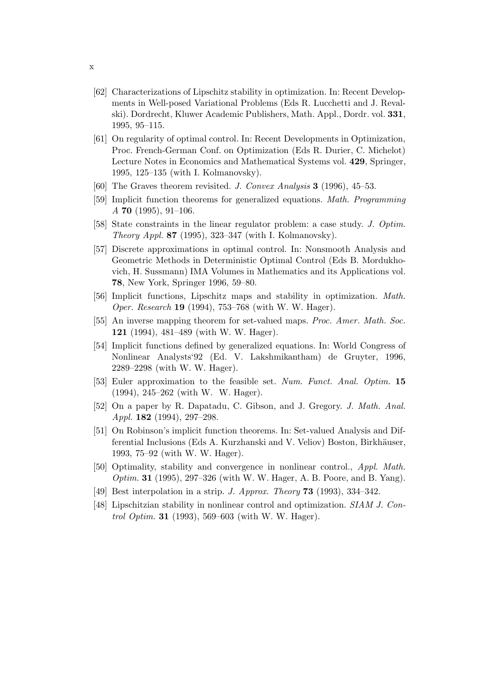- [62] Characterizations of Lipschitz stability in optimization. In: Recent Developments in Well-posed Variational Problems (Eds R. Lucchetti and J. Revalski). Dordrecht, Kluwer Academic Publishers, Math. Appl., Dordr. vol. 331, 1995, 95–115.
- [61] On regularity of optimal control. In: Recent Developments in Optimization, Proc. French-German Conf. on Optimization (Eds R. Durier, C. Michelot) Lecture Notes in Economics and Mathematical Systems vol. 429, Springer, 1995, 125–135 (with I. Kolmanovsky).
- [60] The Graves theorem revisited. J. Convex Analysis 3 (1996), 45–53.
- [59] Implicit function theorems for generalized equations. Math. Programming  $A$  70 (1995), 91–106.
- [58] State constraints in the linear regulator problem: a case study. J. Optim. Theory Appl. 87 (1995), 323–347 (with I. Kolmanovsky).
- [57] Discrete approximations in optimal control. In: Nonsmooth Analysis and Geometric Methods in Deterministic Optimal Control (Eds B. Mordukhovich, H. Sussmann) IMA Volumes in Mathematics and its Applications vol. 78, New York, Springer 1996, 59–80.
- [56] Implicit functions, Lipschitz maps and stability in optimization. Math. Oper. Research 19 (1994), 753–768 (with W. W. Hager).
- [55] An inverse mapping theorem for set-valued maps. Proc. Amer. Math. Soc. 121 (1994), 481–489 (with W. W. Hager).
- [54] Implicit functions defined by generalized equations. In: World Congress of Nonlinear Analysts'92 (Ed. V. Lakshmikantham) de Gruyter, 1996, 2289–2298 (with W. W. Hager).
- [53] Euler approximation to the feasible set. Num. Funct. Anal. Optim. 15 (1994), 245–262 (with W. W. Hager).
- [52] On a paper by R. Dapatadu, C. Gibson, and J. Gregory. J. Math. Anal. Appl. 182 (1994), 297–298.
- [51] On Robinson's implicit function theorems. In: Set-valued Analysis and Differential Inclusions (Eds A. Kurzhanski and V. Veliov) Boston, Birkhäuser, 1993, 75–92 (with W. W. Hager).
- [50] Optimality, stability and convergence in nonlinear control., Appl. Math. *Optim.* **31** (1995), 297–326 (with W. W. Hager, A. B. Poore, and B. Yang).
- [49] Best interpolation in a strip. J. Approx. Theory 73 (1993), 334–342.
- [48] Lipschitzian stability in nonlinear control and optimization. SIAM J. Con*trol Optim.* **31** (1993), 569–603 (with W. W. Hager).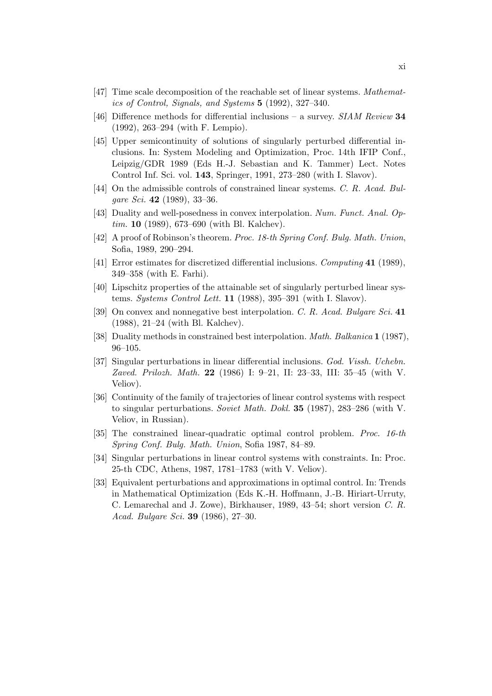- [47] Time scale decomposition of the reachable set of linear systems. Mathematics of Control, Signals, and Systems 5 (1992), 327–340.
- [46] Difference methods for differential inclusions a survey. SIAM Review 34 (1992), 263–294 (with F. Lempio).
- [45] Upper semicontinuity of solutions of singularly perturbed differential inclusions. In: System Modeling and Optimization, Proc. 14th IFIP Conf., Leipzig/GDR 1989 (Eds H.-J. Sebastian and K. Tammer) Lect. Notes Control Inf. Sci. vol. 143, Springer, 1991, 273–280 (with I. Slavov).
- [44] On the admissible controls of constrained linear systems. C. R. Acad. Bulgare Sci. 42 (1989), 33-36.
- [43] Duality and well-posedness in convex interpolation. Num. Funct. Anal. Op $tim. 10 (1989), 673–690 (with Bl. Kalchev).$
- [42] A proof of Robinson's theorem. Proc. 18-th Spring Conf. Bulg. Math. Union, Sofia, 1989, 290–294.
- [41] Error estimates for discretized differential inclusions. Computing 41 (1989), 349–358 (with E. Farhi).
- [40] Lipschitz properties of the attainable set of singularly perturbed linear systems. Systems Control Lett. 11 (1988), 395–391 (with I. Slavov).
- [39] On convex and nonnegative best interpolation. C. R. Acad. Bulgare Sci. 41 (1988), 21–24 (with Bl. Kalchev).
- [38] Duality methods in constrained best interpolation. Math. Balkanica 1 (1987), 96–105.
- [37] Singular perturbations in linear differential inclusions. God. Vissh. Uchebn. Zaved. Prilozh. Math. 22 (1986) I: 9–21, II: 23–33, III: 35–45 (with V. Veliov).
- [36] Continuity of the family of trajectories of linear control systems with respect to singular perturbations. Soviet Math. Dokl. 35 (1987), 283–286 (with V. Veliov, in Russian).
- [35] The constrained linear-quadratic optimal control problem. Proc. 16-th Spring Conf. Bulg. Math. Union, Sofia 1987, 84–89.
- [34] Singular perturbations in linear control systems with constraints. In: Proc. 25-th CDC, Athens, 1987, 1781–1783 (with V. Veliov).
- [33] Equivalent perturbations and approximations in optimal control. In: Trends in Mathematical Optimization (Eds K.-H. Hoffmann, J.-B. Hiriart-Urruty, C. Lemarechal and J. Zowe), Birkhauser, 1989, 43–54; short version C. R. Acad. Bulgare Sci. 39 (1986), 27–30.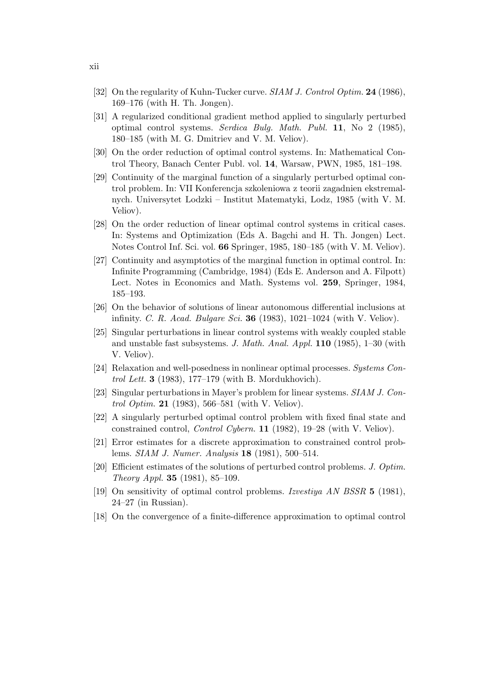- [32] On the regularity of Kuhn-Tucker curve. SIAM J. Control Optim. 24 (1986), 169–176 (with H. Th. Jongen).
- [31] A regularized conditional gradient method applied to singularly perturbed optimal control systems. Serdica Bulg. Math. Publ. 11, No 2 (1985), 180–185 (with M. G. Dmitriev and V. M. Veliov).
- [30] On the order reduction of optimal control systems. In: Mathematical Control Theory, Banach Center Publ. vol. 14, Warsaw, PWN, 1985, 181–198.
- [29] Continuity of the marginal function of a singularly perturbed optimal control problem. In: VII Konferencja szkoleniowa z teorii zagadnien ekstremalnych. Universytet Lodzki – Institut Matematyki, Lodz, 1985 (with V. M. Veliov).
- [28] On the order reduction of linear optimal control systems in critical cases. In: Systems and Optimization (Eds A. Bagchi and H. Th. Jongen) Lect. Notes Control Inf. Sci. vol. 66 Springer, 1985, 180–185 (with V. M. Veliov).
- [27] Continuity and asymptotics of the marginal function in optimal control. In: Infinite Programming (Cambridge, 1984) (Eds E. Anderson and A. Filpott) Lect. Notes in Economics and Math. Systems vol. 259, Springer, 1984, 185–193.
- [26] On the behavior of solutions of linear autonomous differential inclusions at infinity. C. R. Acad. Bulgare Sci. 36 (1983),  $1021-1024$  (with V. Veliov).
- [25] Singular perturbations in linear control systems with weakly coupled stable and unstable fast subsystems. J. Math. Anal. Appl. 110 (1985), 1–30 (with V. Veliov).
- [24] Relaxation and well-posedness in nonlinear optimal processes. Systems Control Lett. 3 (1983), 177–179 (with B. Mordukhovich).
- [23] Singular perturbations in Mayer's problem for linear systems. SIAM J. Con*trol Optim.* **21** (1983), 566–581 (with V. Veliov).
- [22] A singularly perturbed optimal control problem with fixed final state and constrained control, Control Cybern. 11 (1982), 19–28 (with V. Veliov).
- [21] Error estimates for a discrete approximation to constrained control problems. SIAM J. Numer. Analysis 18 (1981), 500–514.
- [20] Efficient estimates of the solutions of perturbed control problems. J. Optim. Theory Appl. 35 (1981), 85–109.
- [19] On sensitivity of optimal control problems. Izvestiya AN BSSR 5 (1981), 24–27 (in Russian).
- [18] On the convergence of a finite-difference approximation to optimal control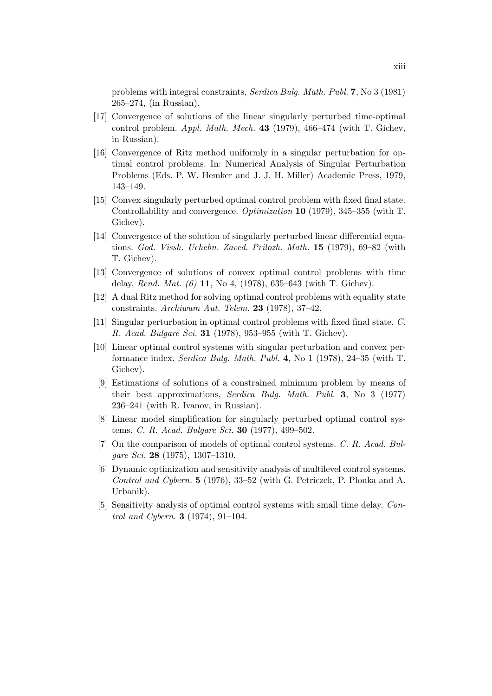problems with integral constraints, Serdica Bulg. Math. Publ. 7, No 3 (1981) 265–274, (in Russian).

- [17] Convergence of solutions of the linear singularly perturbed time-optimal control problem. Appl. Math. Mech. 43 (1979), 466–474 (with T. Gichev, in Russian).
- [16] Convergence of Ritz method uniformly in a singular perturbation for optimal control problems. In: Numerical Analysis of Singular Perturbation Problems (Eds. P. W. Hemker and J. J. H. Miller) Academic Press, 1979, 143–149.
- [15] Convex singularly perturbed optimal control problem with fixed final state. Controllability and convergence. Optimization 10 (1979), 345–355 (with T. Gichev).
- [14] Convergence of the solution of singularly perturbed linear differential equations. God. Vissh. Uchebn. Zaved. Prilozh. Math. 15 (1979), 69–82 (with T. Gichev).
- [13] Convergence of solutions of convex optimal control problems with time delay, *Rend. Mat.* (6) 11, No 4, (1978), 635–643 (with T. Gichev).
- [12] A dual Ritz method for solving optimal control problems with equality state constraints. Archiwum Aut. Telem. 23 (1978), 37–42.
- [11] Singular perturbation in optimal control problems with fixed final state. C. R. Acad. Bulgare Sci. 31 (1978), 953–955 (with T. Gichev).
- [10] Linear optimal control systems with singular perturbation and convex performance index. Serdica Bulg. Math. Publ. 4, No 1 (1978), 24–35 (with T. Gichev).
- [9] Estimations of solutions of a constrained minimum problem by means of their best approximations, Serdica Bulg. Math. Publ. 3, No 3 (1977) 236–241 (with R. Ivanov, in Russian).
- [8] Linear model simplification for singularly perturbed optimal control systems. C. R. Acad. Bulgare Sci. **30** (1977), 499–502.
- [7] On the comparison of models of optimal control systems. C. R. Acad. Bulgare Sci. 28 (1975), 1307–1310.
- [6] Dynamic optimization and sensitivity analysis of multilevel control systems. Control and Cybern. 5 (1976), 33–52 (with G. Petriczek, P. Plonka and A. Urbanik).
- [5] Sensitivity analysis of optimal control systems with small time delay. Control and Cybern. **3** (1974), 91–104.